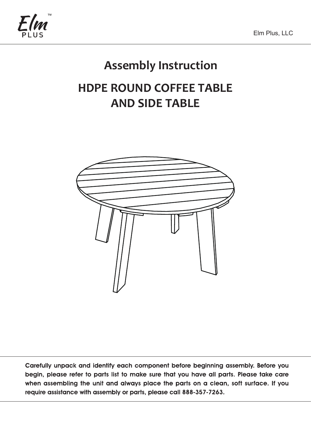

# **Assembly Instruction**

# **HDPE ROUND COFFEE TABLE AND SIDE TABLE**



Carefully unpack and identify each component before beginning assembly. Before you begin, please refer to parts list to make sure that you have all parts. Please take care when assembling the unit and always place the parts on a clean, soft surface. If you require assistance with assembly or parts, please call 888-357-7263.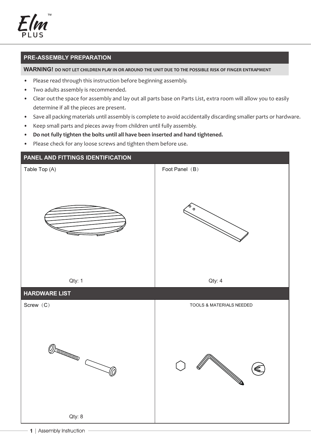'<br>MA

### **PRE-ASSEMBLY PREPARATION**

#### **WARNING!** DO NOT LET CHILDREN PLAY IN OR AROUND THE UNIT DUE TO THE POSSIBLE RISK OF FINGER ENTRAPMENT

- Please read through this instruction before beginning assembly.
- Two adults assembly is recommended.
- Clear out the space for assembly and lay out all parts base on Parts List, extra room will allow you to easily determine if all the pieces are present.
- Save all packing materials until assembly is complete to avoid accidentally discarding smaller parts or hardware.
- Keep small parts and pieces away from children until fully assembly.
- **Do not fully tighten the bolts until all have been inserted and hand tightened.**
- Please check for any loose screws and tighten them before use.